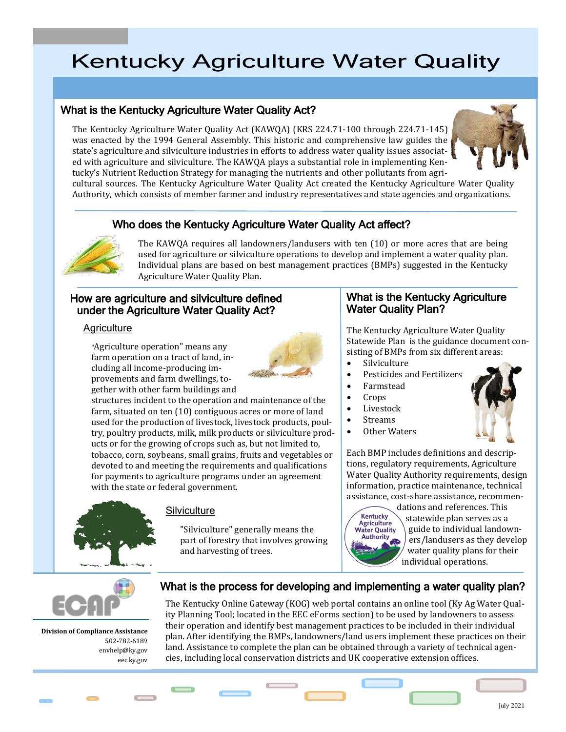# **Kentucky Agriculture Water Quality**

# What is the Kentucky Agriculture Water Quality Act?

The Kentucky Agriculture Water Quality Act (KAWQA) (KRS 224.71‑100 through 224.71-145) was enacted by the 1994 General Assembly. This historic and comprehensive law guides the state's agriculture and silviculture industries in efforts to address water quality issues associated with agriculture and silviculture. The KAWQA plays a substantial role in implementing Kentucky's Nutrient Reduction Strategy for managing the nutrients and other pollutants from agri-



cultural sources. The Kentucky Agriculture Water Quality Act created the Kentucky Agriculture Water Quality Authority, which consists of member farmer and industry representatives and state agencies and organizations.

# Who does the Kentucky Agriculture Water Quality Act affect?



The KAWQA requires all landowners/landusers with ten (10) or more acres that are being used for agriculture or silviculture operations to develop and implement a water quality plan. Individual plans are based on best management practices (BMPs) suggested in the Kentucky Agriculture Water Quality Plan.

### How are agriculture and silviculture defined under the Agriculture Water Quality Act?

#### **Agriculture**

"Agriculture operation" means any farm operation on a tract of land, including all income-producing im‑ provements and farm dwellings, together with other farm buildings and



structures incident to the operation and maintenance of the farm, situated on ten (10) contiguous acres or more of land used for the production of livestock, livestock products, poultry, poultry products, milk, milk products or silviculture products or for the growing of crops such as, but not limited to, tobacco, corn, soybeans, small grains, fruits and vegetables or devoted to and meeting the requirements and qualifications for payments to agriculture programs under an agreement with the state or federal government.



#### **Silviculture**

"Silviculture" generally means the part of forestry that involves growing and harvesting of trees.

#### What is the Kentucky Agriculture Water Quality Plan?

The Kentucky Agriculture Water Quality Statewide Plan is the guidance document consisting of BMPs from six different areas:

- Silviculture
- Pesticides and Fertilizers
- Farmstead
- Crops
- Livestock
- Streams
- Other Waters

Each BMP includes definitions and descriptions, regulatory requirements, Agriculture Water Quality Authority requirements, design information, practice maintenance, technical assistance, cost-share assistance, recommen-

Kentucky<br>Agriculture **Water Quality** Authority

dations and references. This statewide plan serves as a guide to individual landowners/landusers as they develop water quality plans for their individual operations.



**Division of Compliance Assistance** 502-782-6189 envhelp@ky.gov eec.ky.gov

### What is the process for developing and implementing a water quality plan?

The Kentucky Online Gateway (KOG) web portal contains an online tool (Ky Ag Water Qual‑ ity Planning Tool; located in the EEC eForms section) to be used by landowners to assess their operation and identify best management practices to be included in their individual plan. After identifying the BMPs, landowners/land users implement these practices on their land. Assistance to complete the plan can be obtained through a variety of technical agencies, including local conservation districts and UK cooperative extension offices.